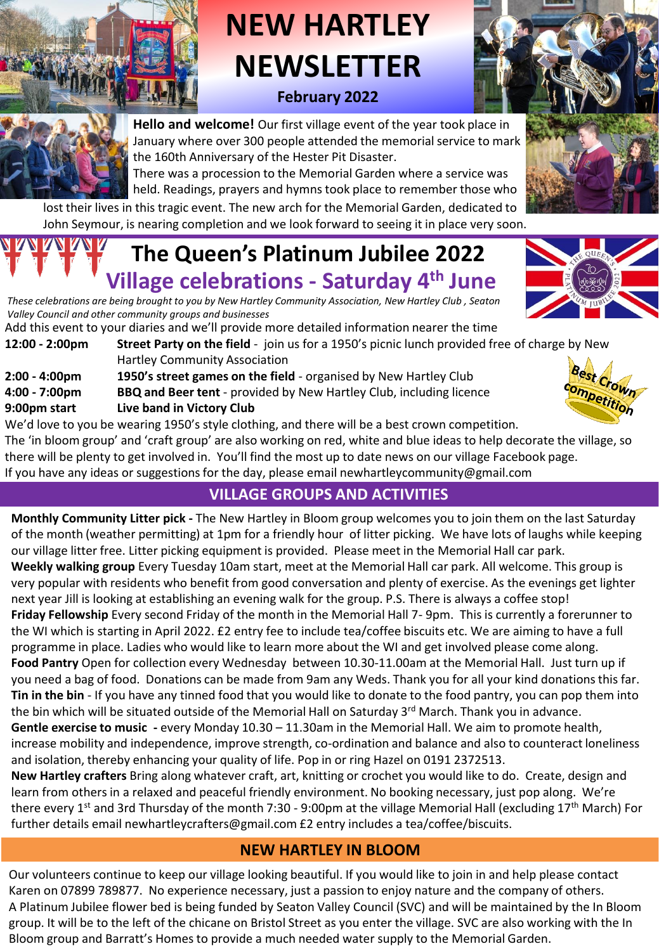

# **NEW HARTLEY NEWSLETTER February 2022**





**Hello and welcome!** Our first village event of the year took place in January where over 300 people attended the memorial service to mark the 160th Anniversary of the Hester Pit Disaster.

There was a procession to the Memorial Garden where a service was held. Readings, prayers and hymns took place to remember those who

lost their lives in this tragic event. The new arch for the Memorial Garden, dedicated to John Seymour, is nearing completion and we look forward to seeing it in place very soon.

# **The Queen's Platinum Jubilee 2022 Village celebrations - Saturday 4th June**



Add this event to your diaries and we'll provide more detailed information nearer the time

- **12:00 - 2:00pm Street Party on the field** join us for a 1950's picnic lunch provided free of charge by New Hartley Community Association
- **2:00 - 4:00pm 1950's street games on the field**  organised by New Hartley Club
- **4:00 - 7:00pm BBQ and Beer tent** provided by New Hartley Club, including licence
- **9:00pm start Live band in Victory Club**

We'd love to you be wearing 1950's style clothing, and there will be a best crown competition. The 'in bloom group' and 'craft group' are also working on red, white and blue ideas to help decorate the village, so there will be plenty to get involved in. You'll find the most up to date news on our village Facebook page. If you have any ideas or suggestions for the day, please email newhartleycommunity@gmail.com

## **VILLAGE GROUPS AND ACTIVITIES**

**Monthly Community Litter pick -** The New Hartley in Bloom group welcomes you to join them on the last Saturday of the month (weather permitting) at 1pm for a friendly hour of litter picking. We have lots of laughs while keeping our village litter free. Litter picking equipment is provided. Please meet in the Memorial Hall car park. **Weekly walking group** Every Tuesday 10am start, meet at the Memorial Hall car park. All welcome. This group is very popular with residents who benefit from good conversation and plenty of exercise. As the evenings get lighter next year Jill is looking at establishing an evening walk for the group. P.S. There is always a coffee stop! **Friday Fellowship** Every second Friday of the month in the Memorial Hall 7- 9pm. This is currently a forerunner to the WI which is starting in April 2022. £2 entry fee to include tea/coffee biscuits etc. We are aiming to have a full programme in place. Ladies who would like to learn more about the WI and get involved please come along. **Food Pantry** Open for collection every Wednesday between 10.30-11.00am at the Memorial Hall. Just turn up if you need a bag of food. Donations can be made from 9am any Weds. Thank you for all your kind donations this far. **Tin in the bin** - If you have any tinned food that you would like to donate to the food pantry, you can pop them into the bin which will be situated outside of the Memorial Hall on Saturday 3<sup>rd</sup> March. Thank you in advance. **Gentle exercise to music -** every Monday 10.30 – 11.30am in the Memorial Hall. We aim to promote health, increase mobility and independence, improve strength, co-ordination and balance and also to counteract loneliness and isolation, thereby enhancing your quality of life. Pop in or ring Hazel on 0191 2372513. **New Hartley crafters** Bring along whatever craft, art, knitting or crochet you would like to do. Create, design and

learn from others in a relaxed and peaceful friendly environment. No booking necessary, just pop along. We're there every 1<sup>st</sup> and 3rd Thursday of the month 7:30 - 9:00pm at the village Memorial Hall (excluding 17<sup>th</sup> March) For further details email newhartleycrafters@gmail.com £2 entry includes a tea/coffee/biscuits.

#### **NEW HARTLEY IN BLOOM**

Our volunteers continue to keep our village looking beautiful. If you would like to join in and help please contact Karen on 07899 789877. No experience necessary, just a passion to enjoy nature and the company of others. A Platinum Jubilee flower bed is being funded by Seaton Valley Council (SVC) and will be maintained by the In Bloom group. It will be to the left of the chicane on Bristol Street as you enter the village. SVC are also working with the In Bloom group and Barratt's Homes to provide a much needed water supply to the Memorial Garden.